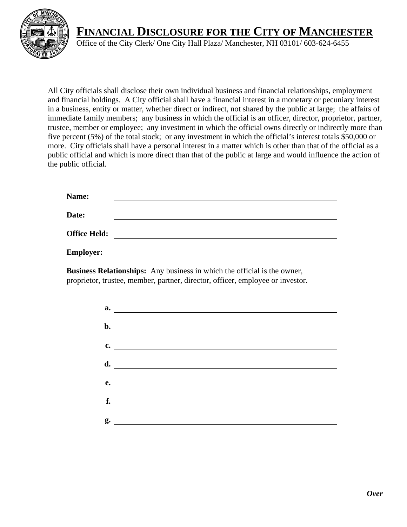

## **FINANCIAL DISCLOSURE FOR THE CITY OF MANCHESTER**

Office of the City Clerk/ One City Hall Plaza/ Manchester, NH 03101/ 603-624-6455

All City officials shall disclose their own individual business and financial relationships, employment and financial holdings. A City official shall have a financial interest in a monetary or pecuniary interest in a business, entity or matter, whether direct or indirect, not shared by the public at large; the affairs of immediate family members; any business in which the official is an officer, director, proprietor, partner, trustee, member or employee; any investment in which the official owns directly or indirectly more than five percent (5%) of the total stock; or any investment in which the official's interest totals \$50,000 or more. City officials shall have a personal interest in a matter which is other than that of the official as a public official and which is more direct than that of the public at large and would influence the action of the public official.

| Name:               |  |
|---------------------|--|
| Date:               |  |
| <b>Office Held:</b> |  |
| <b>Employer:</b>    |  |

**Business Relationships:** Any business in which the official is the owner, proprietor, trustee, member, partner, director, officer, employee or investor.

| $\overline{\mathbf{a}}$ .     |
|-------------------------------|
| $\mathbf{b}$ .                |
| $\mathbf{c.}$                 |
|                               |
| e.                            |
| f.                            |
|                               |
| $g.$ $\overline{\phantom{a}}$ |